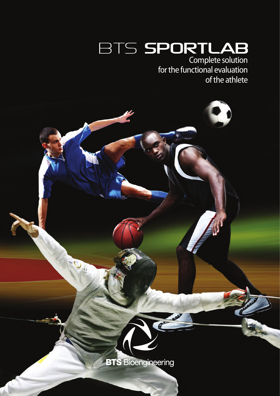Complete solution for the functional evaluation of the athlete

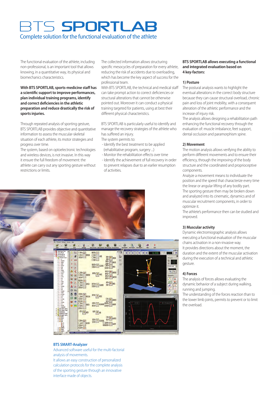# S SPORTLAB Complete solution for the functional evaluation of the athlete

The functional evaluation of the athlete, including non-professional, is an important tool that allows knowing, in a quantitative way, its physical and biomechanics characteristics.

#### **With BTS SPORTLAB, sports-medicine staff has a scientific support to improve performances, plan individual training programs, identify and correct deficiencies in the athletic preparation and reduce drastically the risk of sports injuries.**

Through repeated analysis of sporting gesture, BTS SPORTLAB provides objective and quantitative information to assess the muscular-skeletal situation of each athlete, its motor strategies and progress over time.

The system, based on optoelectronic technologies and wireless devices, is not invasive. In this way it ensure the full freedom of movement: the athlete can carry out any sporting gesture without restrictions or limits.

The collected information allows structuring specific mesocycles of preparation for every athlete, reducing the risk of accidents due to overloading, which has become the key aspect of success for the professional team.

With BTS SPORTLAB, the technical and medical staff can take prompt action to correct deficiencies or structural alterations that cannot be otherwise pointed out. Moreover it can conduct a physical training targeted for patients, using at best their different physical characteristics.

BTS SPORTLAB is particularly useful to identify and manage the recovery strategies of the athlete who has suffered an injury.

The system permits to:

- Identify the best treatment to be applied (rehabilitative program, surgery ...)
- Monitor the rehabilitation effects over time
- Identify the achievement of full recovery in order to prevent relapses due to an earlier resumption of activities.



#### **BTS SPORTLAB allows executing a functional and integrated evaluation based on 4 key-factors:**

#### **1) Posture**

The postural analysis wants to highlight the eventual alterations in the correct body structure because they can cause structural overload, chronic pain and loss of joint mobility, with a consequent alteration of the athletic performance and the increase of injury risk.

The analysis allows designing a rehabilitation path enhancing the functional recovery through the evaluation of: muscle imbalance, feet support, dental occlusion and paramorphism spine.

#### **2) Movement**

The motion analysis allows verifying the ability to perform different movements and to ensure their efficiency, through the improving of the body structure and the coordinated and proprioceptive components.

Analyze a movement means to individuate the position and the speed that characterize every time the linear or angular lifting of any bodily part. The sporting gesture then may be broken down and analyzed into its cinematic, dynamics and of muscular recruitment components, in order to optimize it.

The athlete's performance then can be studied and improved.

#### **3) Muscular activity**

Dynamic electromiographic analysis allows executing a functional evaluation of the muscular chains activation in a non-invasive way. It provides directions about the moment, the duration and the extent of the muscular activation during the execution of a technical and athletic gesture.

#### **4) Forces**

The analysis of forces allows evaluating the dynamic behavior of a subject during walking, running and jumping.

The understanding of the forces reaction than to the lower limb joints, permits to prevent or to limit the overload.

#### **BTS SMART-Analyzer**

Advanced software useful for the multi-factorial analysis of movements. It allows an easy construction of personalized calculation protocols for the complete analysis of the sporting gesture through an innovative interface made of objects.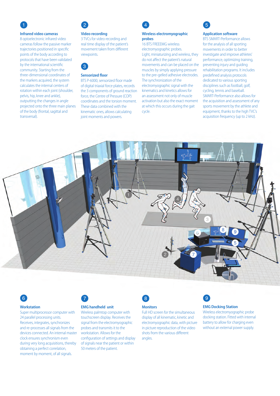## **Q** 2

#### **Infrared video cameras**

8 optoelectronic infrared video cameras follow the passive marker trajectories positioned in specific points of the body according to protocols that have been validated by the international scientific community. Starting from the three-dimensional coordinates of the markers acquired, the system calculates the internal centers of rotation within each joint (shoulder, pelvis, hip, knee and ankle), outputting the changes in angle projected onto the three main planes of the body (frontal, sagittal and transversal).

#### **Video recording**

3 TVCs for video recording and real time display of the patient's movement taken from different viewpoints.



### **Sensorized floor**

BTS P-6000, sensorized floor made of digital triaxial force plates, records the 3 components of ground reaction force, the Centre of Pressure (COP) coordinates and the torsion moment. These data combined with the kinematic ones, allows calculating joint moments and powers.



#### **Wireless electromyographic probes**

16 BTS FREEEMG wireless electromyographic probes. Light, miniaturizing and wireless, they do not affect the patient's natural movements and can be placed on the muscles by simply applying pressure to the pre-gelled adhesive electrodes. The synchronization of the electromyographic signal with the kinematics and kinetics allows for an assessment not only of muscle activation but also the exact moment at which this occurs during the gait cycle.



## **Application software**

BTS SMART-Performance allows for the analysis of all sporting movements in order to better investigate and improve athletes' performance, optimizing training, preventing injury and guiding rehabilitation programs. It includes predefined analysis protocols dedicated to various sporting disciplines such as football, golf. cycling, tennis and baseball. SMART-Performance also allows for the acquisition and assessment of any sports movement by the athlete and equipment, thanks to the high TVC's acquisition frequency (up to 2 kHz).



# $6$

#### **Workstation**

Super multiprocessor computer with 24 parallel processing units. Receives, integrates, synchronizes and re-processes all signals from the devices connected. An internal master clock ensures synchronism even during very long acquisitions, thereby obtaining a perfect correlation, moment by moment, of all signals.



#### **EMG handheld unit**

Wireless palmtop computer with touchscreen display. Receives the signal from the electromyographic probes and transmits it to the workstation. Allows for the configuration of settings and display of signals near the patient or within 50 meters of the patient.



#### **Monitors**

Full HD screen for the simultaneous display of all kinematic, kinetic and electromyographic data, with picture in picture reproduction of the video shots from the various different angles.



#### **EMG Docking Station**

Wireless electromyographic probe docking station. Fitted with internal battery to allow for charging even without an external power supply.